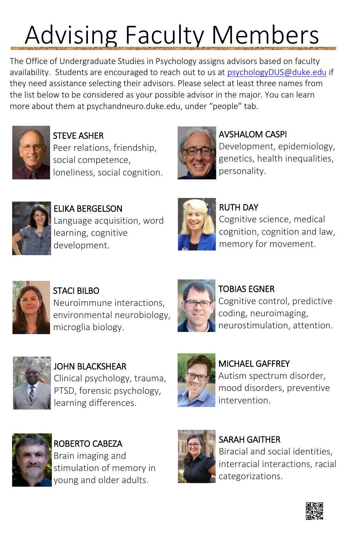## Advising Faculty Members

The Office of Undergraduate Studies in Psychology assigns advisors based on faculty availability. Students are encouraged to reach out to us at [psychologyDUS@duke.edu](mailto:psychologyDUS@duke.edu) if they need assistance selecting their advisors. Please select at least three names from the list below to be considered as your possible advisor in the major. You can learn more about them at psychandneuro.duke.edu, under "people" tab.



STEVE ASHER Peer relations, friendship, social competence, loneliness, social cognition.



AVSHALOM CASPI

Development, epidemiology, genetics, health inequalities, personality.



ELIKA BERGELSON Language acquisition, word learning, cognitive development.



RUTH DAY

Cognitive science, medical cognition, cognition and law, memory for movement.



STACI BILBO Neuroimmune interactions, environmental neurobiology, microglia biology.



TOBIAS EGNER Cognitive control, predictive coding, neuroimaging, neurostimulation, attention.



JOHN BLACKSHEAR Clinical psychology, trauma, PTSD, forensic psychology, learning differences.



MICHAEL GAFFREY Autism spectrum disorder, mood disorders, preventive intervention.



ROBERTO CABEZA Brain imaging and stimulation of memory in young and older adults.



SARAH GAITHER Biracial and social identities, interracial interactions, racial categorizations.

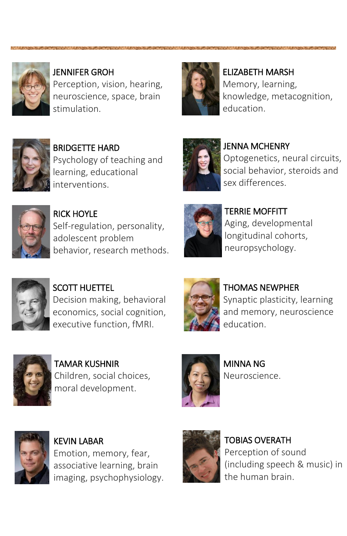

JENNIFER GROH Perception, vision, hearing, neuroscience, space, brain stimulation.



ELIZABETH MARSH Memory, learning, knowledge, metacognition, education.



BRIDGETTE HARD Psychology of teaching and learning, educational interventions.



JENNA MCHENRY Optogenetics, neural circuits, social behavior, steroids and sex differences.



RICK HOYLE Self-regulation, personality, adolescent problem behavior, research methods.



TERRIE MOFFITT Aging, developmental longitudinal cohorts, neuropsychology.



SCOTT HUETTEL Decision making, behavioral economics, social cognition, executive function, fMRI.



THOMAS NEWPHER Synaptic plasticity, learning and memory, neuroscience education.



TAMAR KUSHNIR Children, social choices, moral development.



MINNA NG Neuroscience.



KEVIN LABAR Emotion, memory, fear, associative learning, brain imaging, psychophysiology.



TOBIAS OVERATH Perception of sound (including speech & music) in the human brain.